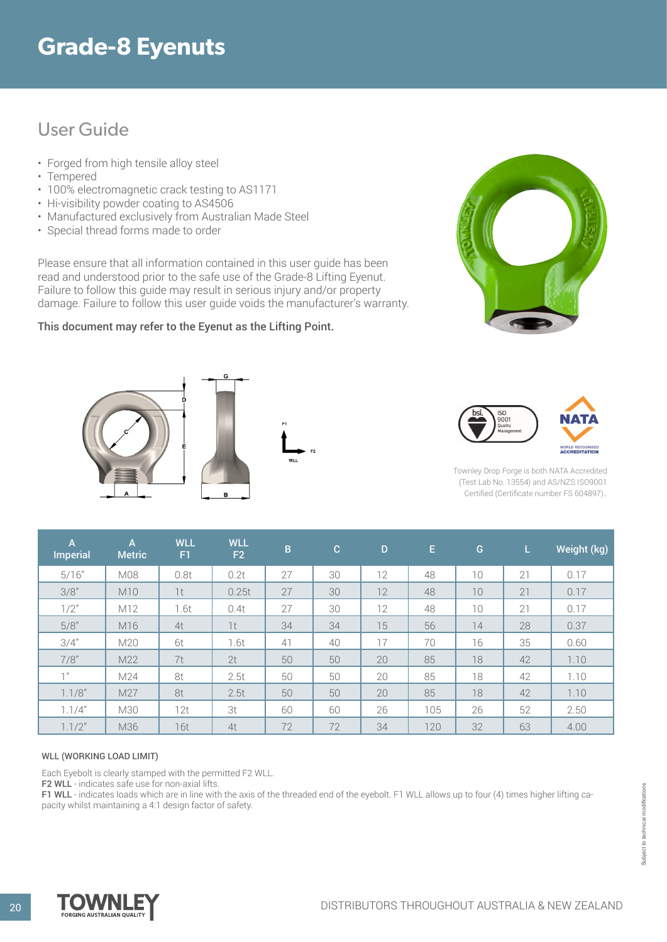# **Grade-8 Eyenuts**

## User Guide

- Forged from high tensile alloy steel
- Tempered
- 100% electromagnetic crack testing to AS1171
- Hi-visibility powder coating to AS4506
- Manufactured exclusively from Australian Made Steel
- Special thread forms made to order

Please ensure that all information contained in this user guide has been read and understood prior to the safe use of the Grade-8 Lifting Eyenut. Failure to follow this guide may result in serious injury and/or property damage. Failure to follow this user guide voids the manufacturer's warranty.

### This document may refer to the Eyenut as the Lifting Point**.**









Townley Drop Forge is both NATA Accredited (Test Lab No. 13554) and AS/NZS ISO9001 Certified (Certificate number FS 604897)..

| A.<br><b>Imperial</b> | A<br><b>Metric</b> | <b>WLL</b><br>F1 | <b>WLL</b><br>F <sub>2</sub> | $\overline{B}$ | $\mathbf{C}$ | D  | E.  | G  | L. | Weight (kg) |
|-----------------------|--------------------|------------------|------------------------------|----------------|--------------|----|-----|----|----|-------------|
| 5/16''                | M08                | 0.8t             | 0.2t                         | 27             | 30           | 12 | 48  | 10 | 21 | 0.17        |
| 3/8''                 | M10                | 1t               | 0.25t                        | 27             | 30           | 12 | 48  | 10 | 21 | 0.17        |
| 1/2"                  | M12                | 1.6t             | 0.4t                         | 27             | 30           | 12 | 48  | 10 | 21 | 0.17        |
| 5/8''                 | M16                | 4t               | 1t                           | 34             | 34           | 15 | 56  | 14 | 28 | 0.37        |
| 3/4''                 | M20                | 6t               | 1.6t                         | 41             | 40           | 17 | 70  | 16 | 35 | 0.60        |
| 7/8''                 | M22                | 7t               | 2t                           | 50             | 50           | 20 | 85  | 18 | 42 | 1.10        |
| 7 <sup>''</sup>       | M24                | 8t               | 2.5t                         | 50             | 50           | 20 | 85  | 18 | 42 | 1.10        |
| 1.1/8''               | M27                | 8t               | 2.5t                         | 50             | 50           | 20 | 85  | 18 | 42 | 1.10        |
| 1.1/4"                | M30                | 12t              | 3t                           | 60             | 60           | 26 | 105 | 26 | 52 | 2.50        |
| 1.1/2"                | M36                | 16t              | 4t                           | 72             | 72           | 34 | 120 | 32 | 63 | 4.00        |

#### WLL (WORKING LOAD LIMIT)

Each Eyebolt is clearly stamped with the permitted F2 WLL.

F2 WLL - indicates safe use for non-axial lifts.

F1 WLL - indicates loads which are in line with the axis of the threaded end of the eyebolt. F1 WLL allows up to four (4) times higher lifting capacity whilst maintaining a 4:1 design factor of safety.